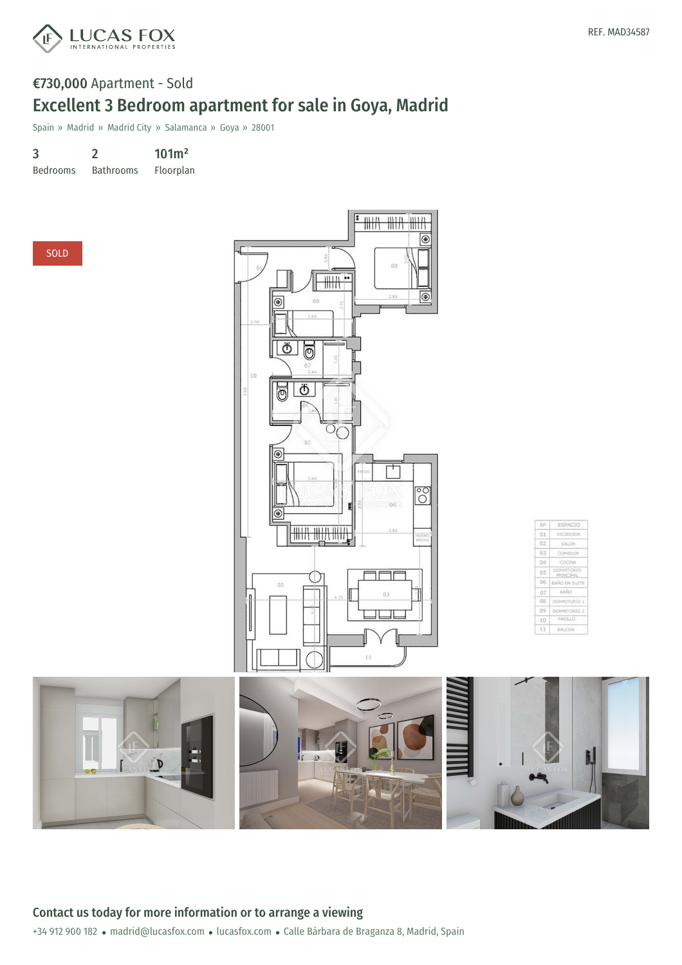

## €730,000 Apartment - Sold Excellent 3 Bedroom apartment for sale in Goya, Madrid

Spain » Madrid » Madrid City » Salamanca » Goya » 28001

3 2 101m²

Bedrooms Bathrooms Floorplan



| N <sup>2</sup> | ESPACIO                               |  |
|----------------|---------------------------------------|--|
| $-0.1$         | <b>ASSOCIATE</b><br><b>DOR</b>        |  |
| 02             | SALON                                 |  |
| 03             | <b>CONTECH</b>                        |  |
| O <sub>4</sub> | <b>COCINA</b>                         |  |
| - 05           | 570530<br><b>DOM</b><br><b>SCIPAC</b> |  |
| 06             | BARO EN SUITE                         |  |
| 107            | BASIC                                 |  |
| $-0.0$         | DOI: HITCHID 1                        |  |
| 299            | DORMETORIST 2                         |  |
| 10             | PASSIIT                               |  |
| 11             | BALLYON                               |  |

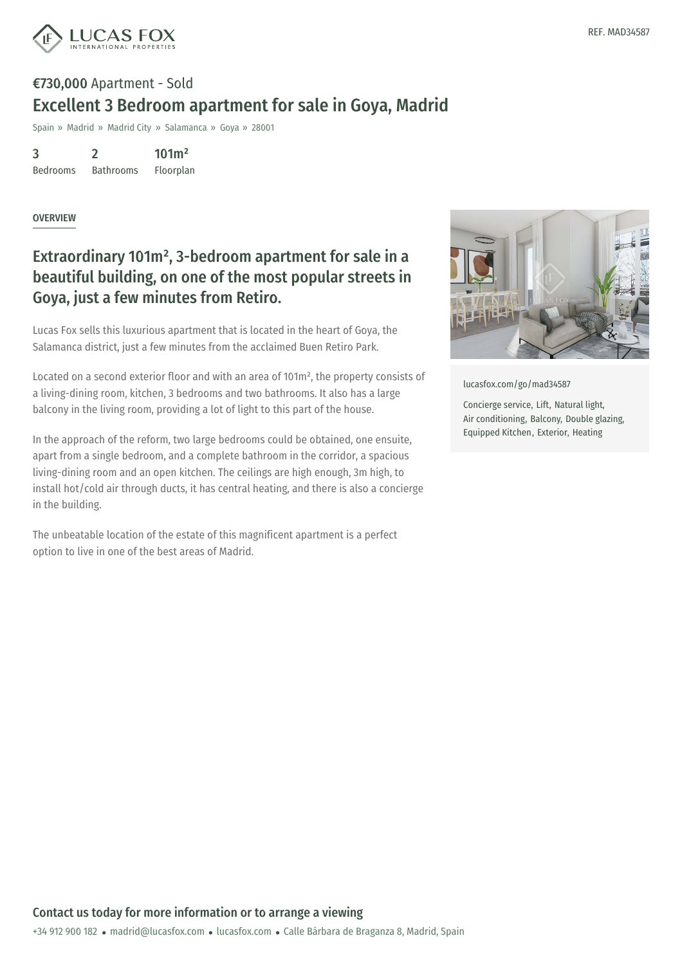

# €730,000 Apartment - Sold Excellent 3 Bedroom apartment for sale in Goya, Madrid

Spain » Madrid » Madrid City » Salamanca » Goya » 28001

3 Bedrooms 2 101m²

Bathrooms Floorplan

#### OVERVIEW

### Extraordinary 101m² , 3-bedroom apartment for sale in a beautiful building, on one of the most popular streets in Goya, just a few minutes from Retiro.

Lucas Fox sells this luxurious apartment that is located in the heart of Goya, the Salamanca district, just a few minutes from the acclaimed Buen Retiro Park.

Located on a second exterior floor and with an area of 101m², the property consists of a living-dining room, kitchen, 3 bedrooms and two bathrooms. It also has a large balcony in the living room, providing a lot of light to this part of the house.

In the approach of the reform, two large bedrooms could be obtained, one ensuite, apart from a single bedroom, and a complete bathroom in the corridor, a spacious living-dining room and an open kitchen. The ceilings are high enough, 3m high, to install hot/cold air through ducts, it has central heating, and there is also a concierge in the building.

The unbeatable location of the estate of this magnificent apartment is a perfect option to live in one of the best areas of Madrid.



[lucasfox.com/go/mad34587](https://www.lucasfox.com/go/mad34587)

Concierge service, Lift, Natural light, Air conditioning, Balcony, Double glazing, Equipped Kitchen, Exterior, Heating